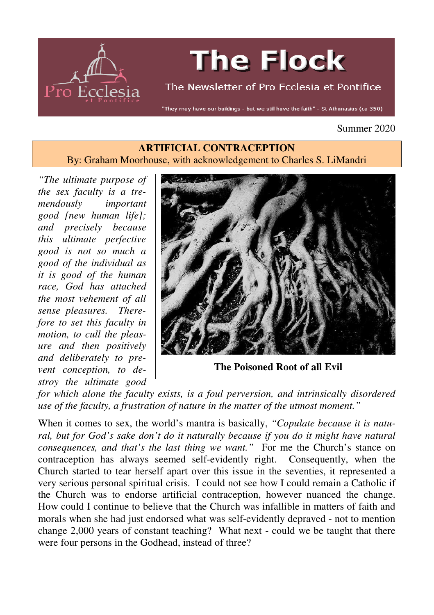

# **The Flock**

The Newsletter of Pro Ecclesia et Pontifice

"They may have our buildings - but we still have the faith" - St Athanasius (ca 350)

#### Summer 2020

#### **ARTIFICIAL CONTRACEPTION**  By: Graham Moorhouse, with acknowledgement to Charles S. LiMandri

*"The ultimate purpose of the sex faculty is a tremendously important good [new human life]; and precisely because this ultimate perfective good is not so much a good of the individual as it is good of the human race, God has attached the most vehement of all sense pleasures. Therefore to set this faculty in motion, to cull the pleasure and then positively and deliberately to prevent conception, to destroy the ultimate good* 



**The Poisoned Root of all Evil**

*for which alone the faculty exists, is a foul perversion, and intrinsically disordered use of the faculty, a frustration of nature in the matter of the utmost moment."* 

When it comes to sex, the world's mantra is basically, *"Copulate because it is natu*ral, but for God's sake don't do it naturally because if you do it might have natural *consequences, and that's the last thing we want."* For me the Church's stance on contraception has always seemed self-evidently right. Consequently, when the Church started to tear herself apart over this issue in the seventies, it represented a very serious personal spiritual crisis. I could not see how I could remain a Catholic if the Church was to endorse artificial contraception, however nuanced the change. How could I continue to believe that the Church was infallible in matters of faith and morals when she had just endorsed what was self-evidently depraved - not to mention change 2,000 years of constant teaching? What next - could we be taught that there were four persons in the Godhead, instead of three?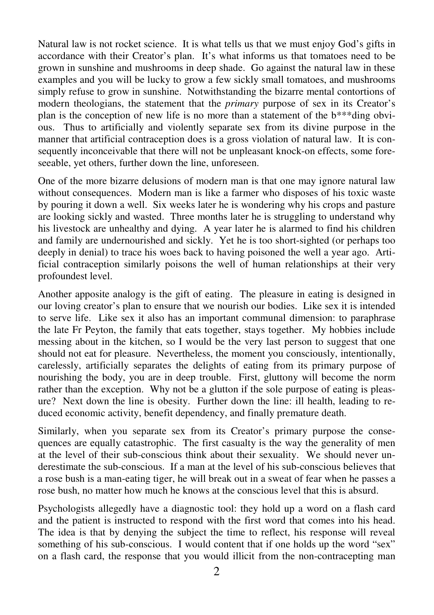Natural law is not rocket science. It is what tells us that we must enjoy God's gifts in accordance with their Creator's plan. It's what informs us that tomatoes need to be grown in sunshine and mushrooms in deep shade. Go against the natural law in these examples and you will be lucky to grow a few sickly small tomatoes, and mushrooms simply refuse to grow in sunshine. Notwithstanding the bizarre mental contortions of modern theologians, the statement that the *primary* purpose of sex in its Creator's plan is the conception of new life is no more than a statement of the b\*\*\*ding obvious. Thus to artificially and violently separate sex from its divine purpose in the manner that artificial contraception does is a gross violation of natural law. It is consequently inconceivable that there will not be unpleasant knock-on effects, some foreseeable, yet others, further down the line, unforeseen.

One of the more bizarre delusions of modern man is that one may ignore natural law without consequences. Modern man is like a farmer who disposes of his toxic waste by pouring it down a well. Six weeks later he is wondering why his crops and pasture are looking sickly and wasted. Three months later he is struggling to understand why his livestock are unhealthy and dying. A year later he is alarmed to find his children and family are undernourished and sickly. Yet he is too short-sighted (or perhaps too deeply in denial) to trace his woes back to having poisoned the well a year ago. Artificial contraception similarly poisons the well of human relationships at their very profoundest level.

Another apposite analogy is the gift of eating. The pleasure in eating is designed in our loving creator's plan to ensure that we nourish our bodies. Like sex it is intended to serve life. Like sex it also has an important communal dimension: to paraphrase the late Fr Peyton, the family that eats together, stays together. My hobbies include messing about in the kitchen, so I would be the very last person to suggest that one should not eat for pleasure. Nevertheless, the moment you consciously, intentionally, carelessly, artificially separates the delights of eating from its primary purpose of nourishing the body, you are in deep trouble. First, gluttony will become the norm rather than the exception. Why not be a glutton if the sole purpose of eating is pleasure? Next down the line is obesity. Further down the line: ill health, leading to reduced economic activity, benefit dependency, and finally premature death.

Similarly, when you separate sex from its Creator's primary purpose the consequences are equally catastrophic. The first casualty is the way the generality of men at the level of their sub-conscious think about their sexuality. We should never underestimate the sub-conscious. If a man at the level of his sub-conscious believes that a rose bush is a man-eating tiger, he will break out in a sweat of fear when he passes a rose bush, no matter how much he knows at the conscious level that this is absurd.

Psychologists allegedly have a diagnostic tool: they hold up a word on a flash card and the patient is instructed to respond with the first word that comes into his head. The idea is that by denying the subject the time to reflect, his response will reveal something of his sub-conscious. I would content that if one holds up the word "sex" on a flash card, the response that you would illicit from the non-contracepting man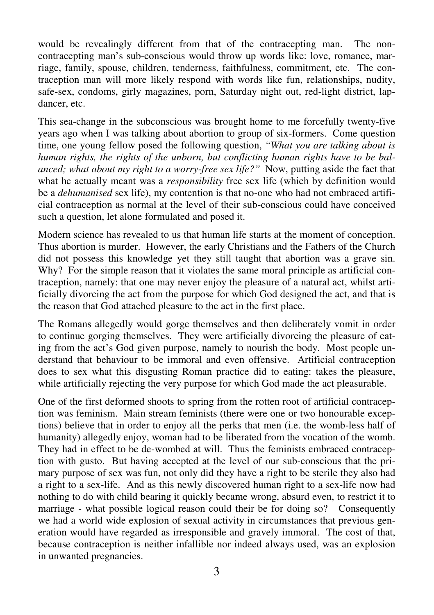would be revealingly different from that of the contracepting man. The noncontracepting man's sub-conscious would throw up words like: love, romance, marriage, family, spouse, children, tenderness, faithfulness, commitment, etc. The contraception man will more likely respond with words like fun, relationships, nudity, safe-sex, condoms, girly magazines, porn, Saturday night out, red-light district, lapdancer, etc.

This sea-change in the subconscious was brought home to me forcefully twenty-five years ago when I was talking about abortion to group of six-formers. Come question time, one young fellow posed the following question, *"What you are talking about is human rights, the rights of the unborn, but conflicting human rights have to be balanced; what about my right to a worry-free sex life?"* Now, putting aside the fact that what he actually meant was a *responsibility* free sex life (which by definition would be a *dehumanised* sex life), my contention is that no-one who had not embraced artificial contraception as normal at the level of their sub-conscious could have conceived such a question, let alone formulated and posed it.

Modern science has revealed to us that human life starts at the moment of conception. Thus abortion is murder. However, the early Christians and the Fathers of the Church did not possess this knowledge yet they still taught that abortion was a grave sin. Why? For the simple reason that it violates the same moral principle as artificial contraception, namely: that one may never enjoy the pleasure of a natural act, whilst artificially divorcing the act from the purpose for which God designed the act, and that is the reason that God attached pleasure to the act in the first place.

The Romans allegedly would gorge themselves and then deliberately vomit in order to continue gorging themselves. They were artificially divorcing the pleasure of eating from the act's God given purpose, namely to nourish the body. Most people understand that behaviour to be immoral and even offensive. Artificial contraception does to sex what this disgusting Roman practice did to eating: takes the pleasure, while artificially rejecting the very purpose for which God made the act pleasurable.

One of the first deformed shoots to spring from the rotten root of artificial contraception was feminism. Main stream feminists (there were one or two honourable exceptions) believe that in order to enjoy all the perks that men (i.e. the womb-less half of humanity) allegedly enjoy, woman had to be liberated from the vocation of the womb. They had in effect to be de-wombed at will. Thus the feminists embraced contraception with gusto. But having accepted at the level of our sub-conscious that the primary purpose of sex was fun, not only did they have a right to be sterile they also had a right to a sex-life. And as this newly discovered human right to a sex-life now had nothing to do with child bearing it quickly became wrong, absurd even, to restrict it to marriage - what possible logical reason could their be for doing so? Consequently we had a world wide explosion of sexual activity in circumstances that previous generation would have regarded as irresponsible and gravely immoral. The cost of that, because contraception is neither infallible nor indeed always used, was an explosion in unwanted pregnancies.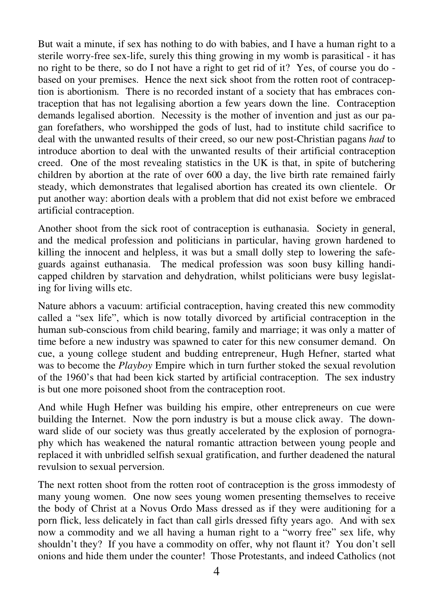But wait a minute, if sex has nothing to do with babies, and I have a human right to a sterile worry-free sex-life, surely this thing growing in my womb is parasitical - it has no right to be there, so do I not have a right to get rid of it? Yes, of course you do based on your premises. Hence the next sick shoot from the rotten root of contraception is abortionism. There is no recorded instant of a society that has embraces contraception that has not legalising abortion a few years down the line. Contraception demands legalised abortion. Necessity is the mother of invention and just as our pagan forefathers, who worshipped the gods of lust, had to institute child sacrifice to deal with the unwanted results of their creed, so our new post-Christian pagans *had* to introduce abortion to deal with the unwanted results of their artificial contraception creed. One of the most revealing statistics in the UK is that, in spite of butchering children by abortion at the rate of over 600 a day, the live birth rate remained fairly steady, which demonstrates that legalised abortion has created its own clientele. Or put another way: abortion deals with a problem that did not exist before we embraced artificial contraception.

Another shoot from the sick root of contraception is euthanasia. Society in general, and the medical profession and politicians in particular, having grown hardened to killing the innocent and helpless, it was but a small dolly step to lowering the safeguards against euthanasia. The medical profession was soon busy killing handicapped children by starvation and dehydration, whilst politicians were busy legislating for living wills etc.

Nature abhors a vacuum: artificial contraception, having created this new commodity called a "sex life", which is now totally divorced by artificial contraception in the human sub-conscious from child bearing, family and marriage; it was only a matter of time before a new industry was spawned to cater for this new consumer demand. On cue, a young college student and budding entrepreneur, Hugh Hefner, started what was to become the *Playboy* Empire which in turn further stoked the sexual revolution of the 1960's that had been kick started by artificial contraception. The sex industry is but one more poisoned shoot from the contraception root.

And while Hugh Hefner was building his empire, other entrepreneurs on cue were building the Internet. Now the porn industry is but a mouse click away. The downward slide of our society was thus greatly accelerated by the explosion of pornography which has weakened the natural romantic attraction between young people and replaced it with unbridled selfish sexual gratification, and further deadened the natural revulsion to sexual perversion.

The next rotten shoot from the rotten root of contraception is the gross immodesty of many young women. One now sees young women presenting themselves to receive the body of Christ at a Novus Ordo Mass dressed as if they were auditioning for a porn flick, less delicately in fact than call girls dressed fifty years ago. And with sex now a commodity and we all having a human right to a "worry free" sex life, why shouldn't they? If you have a commodity on offer, why not flaunt it? You don't sell onions and hide them under the counter! Those Protestants, and indeed Catholics (not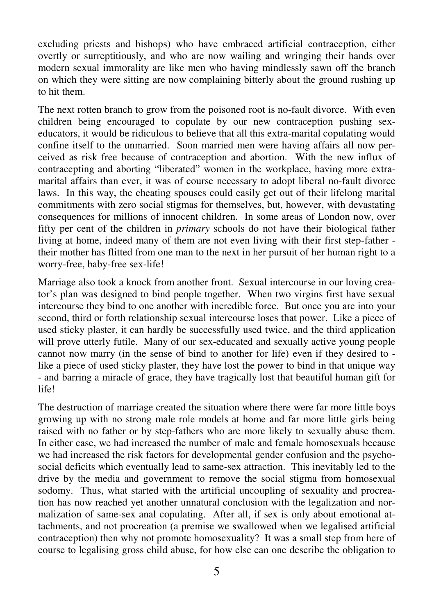excluding priests and bishops) who have embraced artificial contraception, either overtly or surreptitiously, and who are now wailing and wringing their hands over modern sexual immorality are like men who having mindlessly sawn off the branch on which they were sitting are now complaining bitterly about the ground rushing up to hit them.

The next rotten branch to grow from the poisoned root is no-fault divorce. With even children being encouraged to copulate by our new contraception pushing sexeducators, it would be ridiculous to believe that all this extra-marital copulating would confine itself to the unmarried. Soon married men were having affairs all now perceived as risk free because of contraception and abortion. With the new influx of contracepting and aborting "liberated" women in the workplace, having more extramarital affairs than ever, it was of course necessary to adopt liberal no-fault divorce laws. In this way, the cheating spouses could easily get out of their lifelong marital commitments with zero social stigmas for themselves, but, however, with devastating consequences for millions of innocent children. In some areas of London now, over fifty per cent of the children in *primary* schools do not have their biological father living at home, indeed many of them are not even living with their first step-father their mother has flitted from one man to the next in her pursuit of her human right to a worry-free, baby-free sex-life!

Marriage also took a knock from another front. Sexual intercourse in our loving creator's plan was designed to bind people together. When two virgins first have sexual intercourse they bind to one another with incredible force. But once you are into your second, third or forth relationship sexual intercourse loses that power. Like a piece of used sticky plaster, it can hardly be successfully used twice, and the third application will prove utterly futile. Many of our sex-educated and sexually active young people cannot now marry (in the sense of bind to another for life) even if they desired to like a piece of used sticky plaster, they have lost the power to bind in that unique way - and barring a miracle of grace, they have tragically lost that beautiful human gift for life!

The destruction of marriage created the situation where there were far more little boys growing up with no strong male role models at home and far more little girls being raised with no father or by step-fathers who are more likely to sexually abuse them. In either case, we had increased the number of male and female homosexuals because we had increased the risk factors for developmental gender confusion and the psychosocial deficits which eventually lead to same-sex attraction. This inevitably led to the drive by the media and government to remove the social stigma from homosexual sodomy. Thus, what started with the artificial uncoupling of sexuality and procreation has now reached yet another unnatural conclusion with the legalization and normalization of same-sex anal copulating. After all, if sex is only about emotional attachments, and not procreation (a premise we swallowed when we legalised artificial contraception) then why not promote homosexuality? It was a small step from here of course to legalising gross child abuse, for how else can one describe the obligation to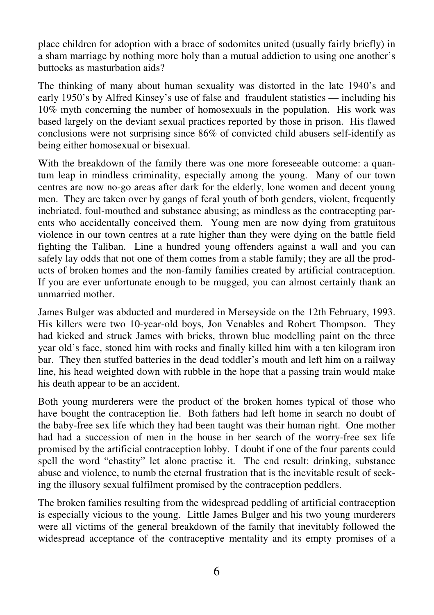place children for adoption with a brace of sodomites united (usually fairly briefly) in a sham marriage by nothing more holy than a mutual addiction to using one another's buttocks as masturbation aids?

The thinking of many about human sexuality was distorted in the late 1940's and early 1950's by Alfred Kinsey's use of false and fraudulent statistics — including his 10% myth concerning the number of homosexuals in the population. His work was based largely on the deviant sexual practices reported by those in prison. His flawed conclusions were not surprising since 86% of convicted child abusers self-identify as being either homosexual or bisexual.

With the breakdown of the family there was one more foreseeable outcome: a quantum leap in mindless criminality, especially among the young. Many of our town centres are now no-go areas after dark for the elderly, lone women and decent young men. They are taken over by gangs of feral youth of both genders, violent, frequently inebriated, foul-mouthed and substance abusing; as mindless as the contracepting parents who accidentally conceived them. Young men are now dying from gratuitous violence in our town centres at a rate higher than they were dying on the battle field fighting the Taliban. Line a hundred young offenders against a wall and you can safely lay odds that not one of them comes from a stable family; they are all the products of broken homes and the non-family families created by artificial contraception. If you are ever unfortunate enough to be mugged, you can almost certainly thank an unmarried mother.

James Bulger was abducted and murdered in Merseyside on the 12th February, 1993. His killers were two 10-year-old boys, Jon Venables and Robert Thompson. They had kicked and struck James with bricks, thrown blue modelling paint on the three year old's face, stoned him with rocks and finally killed him with a ten kilogram iron bar. They then stuffed batteries in the dead toddler's mouth and left him on a railway line, his head weighted down with rubble in the hope that a passing train would make his death appear to be an accident.

Both young murderers were the product of the broken homes typical of those who have bought the contraception lie. Both fathers had left home in search no doubt of the baby-free sex life which they had been taught was their human right. One mother had had a succession of men in the house in her search of the worry-free sex life promised by the artificial contraception lobby. I doubt if one of the four parents could spell the word "chastity" let alone practise it. The end result: drinking, substance abuse and violence, to numb the eternal frustration that is the inevitable result of seeking the illusory sexual fulfilment promised by the contraception peddlers.

The broken families resulting from the widespread peddling of artificial contraception is especially vicious to the young. Little James Bulger and his two young murderers were all victims of the general breakdown of the family that inevitably followed the widespread acceptance of the contraceptive mentality and its empty promises of a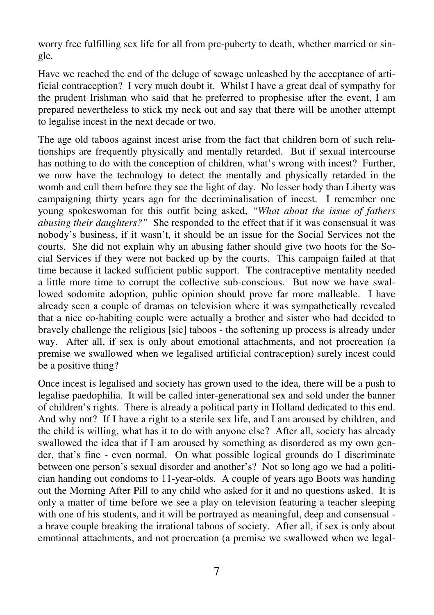worry free fulfilling sex life for all from pre-puberty to death, whether married or single.

Have we reached the end of the deluge of sewage unleashed by the acceptance of artificial contraception? I very much doubt it. Whilst I have a great deal of sympathy for the prudent Irishman who said that he preferred to prophesise after the event, I am prepared nevertheless to stick my neck out and say that there will be another attempt to legalise incest in the next decade or two.

The age old taboos against incest arise from the fact that children born of such relationships are frequently physically and mentally retarded. But if sexual intercourse has nothing to do with the conception of children, what's wrong with incest? Further, we now have the technology to detect the mentally and physically retarded in the womb and cull them before they see the light of day. No lesser body than Liberty was campaigning thirty years ago for the decriminalisation of incest. I remember one young spokeswoman for this outfit being asked, *"What about the issue of fathers abusing their daughters?"* She responded to the effect that if it was consensual it was nobody's business, if it wasn't, it should be an issue for the Social Services not the courts. She did not explain why an abusing father should give two hoots for the Social Services if they were not backed up by the courts. This campaign failed at that time because it lacked sufficient public support. The contraceptive mentality needed a little more time to corrupt the collective sub-conscious. But now we have swallowed sodomite adoption, public opinion should prove far more malleable. I have already seen a couple of dramas on television where it was sympathetically revealed that a nice co-habiting couple were actually a brother and sister who had decided to bravely challenge the religious [sic] taboos - the softening up process is already under way. After all, if sex is only about emotional attachments, and not procreation (a premise we swallowed when we legalised artificial contraception) surely incest could be a positive thing?

Once incest is legalised and society has grown used to the idea, there will be a push to legalise paedophilia. It will be called inter-generational sex and sold under the banner of children's rights. There is already a political party in Holland dedicated to this end. And why not? If I have a right to a sterile sex life, and I am aroused by children, and the child is willing, what has it to do with anyone else? After all, society has already swallowed the idea that if I am aroused by something as disordered as my own gender, that's fine - even normal. On what possible logical grounds do I discriminate between one person's sexual disorder and another's? Not so long ago we had a politician handing out condoms to 11-year-olds. A couple of years ago Boots was handing out the Morning After Pill to any child who asked for it and no questions asked. It is only a matter of time before we see a play on television featuring a teacher sleeping with one of his students, and it will be portrayed as meaningful, deep and consensual a brave couple breaking the irrational taboos of society. After all, if sex is only about emotional attachments, and not procreation (a premise we swallowed when we legal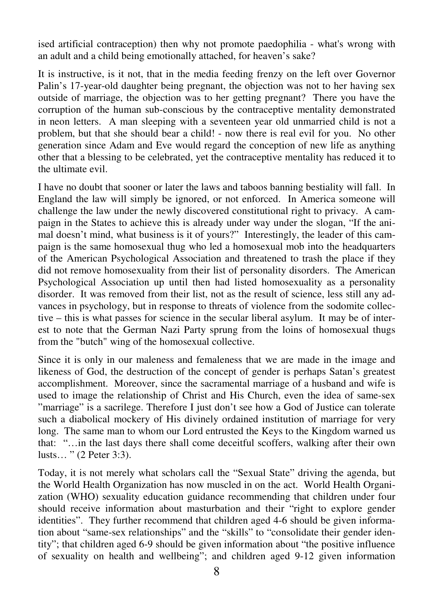ised artificial contraception) then why not promote paedophilia - what's wrong with an adult and a child being emotionally attached, for heaven's sake?

It is instructive, is it not, that in the media feeding frenzy on the left over Governor Palin's 17-year-old daughter being pregnant, the objection was not to her having sex outside of marriage, the objection was to her getting pregnant? There you have the corruption of the human sub-conscious by the contraceptive mentality demonstrated in neon letters. A man sleeping with a seventeen year old unmarried child is not a problem, but that she should bear a child! - now there is real evil for you. No other generation since Adam and Eve would regard the conception of new life as anything other that a blessing to be celebrated, yet the contraceptive mentality has reduced it to the ultimate evil.

I have no doubt that sooner or later the laws and taboos banning bestiality will fall. In England the law will simply be ignored, or not enforced. In America someone will challenge the law under the newly discovered constitutional right to privacy. A campaign in the States to achieve this is already under way under the slogan, "If the animal doesn't mind, what business is it of yours?" Interestingly, the leader of this campaign is the same homosexual thug who led a homosexual mob into the headquarters of the American Psychological Association and threatened to trash the place if they did not remove homosexuality from their list of personality disorders. The American Psychological Association up until then had listed homosexuality as a personality disorder. It was removed from their list, not as the result of science, less still any advances in psychology, but in response to threats of violence from the sodomite collective – this is what passes for science in the secular liberal asylum. It may be of interest to note that the German Nazi Party sprung from the loins of homosexual thugs from the "butch" wing of the homosexual collective.

Since it is only in our maleness and femaleness that we are made in the image and likeness of God, the destruction of the concept of gender is perhaps Satan's greatest accomplishment. Moreover, since the sacramental marriage of a husband and wife is used to image the relationship of Christ and His Church, even the idea of same-sex "marriage" is a sacrilege. Therefore I just don't see how a God of Justice can tolerate such a diabolical mockery of His divinely ordained institution of marriage for very long. The same man to whom our Lord entrusted the Keys to the Kingdom warned us that: "…in the last days there shall come deceitful scoffers, walking after their own lusts… " (2 Peter 3:3).

Today, it is not merely what scholars call the "Sexual State" driving the agenda, but the World Health Organization has now muscled in on the act. World Health Organization (WHO) sexuality education guidance recommending that children under four should receive information about masturbation and their "right to explore gender identities". They further recommend that children aged 4-6 should be given information about "same-sex relationships" and the "skills" to "consolidate their gender identity"; that children aged 6-9 should be given information about "the positive influence of sexuality on health and wellbeing"; and children aged 9-12 given information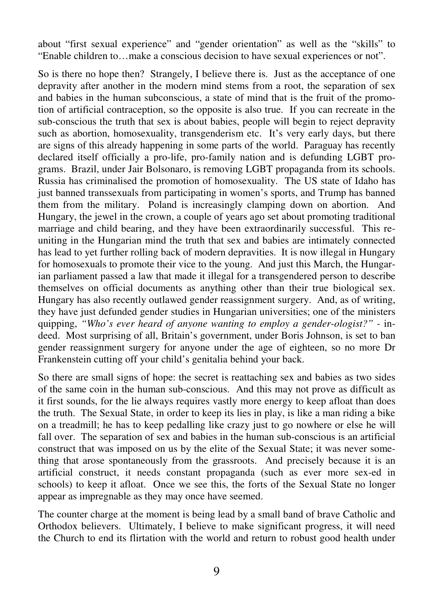about "first sexual experience" and "gender orientation" as well as the "skills" to "Enable children to…make a conscious decision to have sexual experiences or not".

So is there no hope then? Strangely, I believe there is. Just as the acceptance of one depravity after another in the modern mind stems from a root, the separation of sex and babies in the human subconscious, a state of mind that is the fruit of the promotion of artificial contraception, so the opposite is also true. If you can recreate in the sub-conscious the truth that sex is about babies, people will begin to reject depravity such as abortion, homosexuality, transgenderism etc. It's very early days, but there are signs of this already happening in some parts of the world. Paraguay has recently declared itself officially a pro-life, pro-family nation and is defunding LGBT programs. Brazil, under Jair Bolsonaro, is removing LGBT propaganda from its schools. Russia has criminalised the promotion of homosexuality. The US state of Idaho has just banned transsexuals from participating in women's sports, and Trump has banned them from the military. Poland is increasingly clamping down on abortion. And Hungary, the jewel in the crown, a couple of years ago set about promoting traditional marriage and child bearing, and they have been extraordinarily successful. This reuniting in the Hungarian mind the truth that sex and babies are intimately connected has lead to yet further rolling back of modern depravities. It is now illegal in Hungary for homosexuals to promote their vice to the young. And just this March, the Hungarian parliament passed a law that made it illegal for a transgendered person to describe themselves on official documents as anything other than their true biological sex. Hungary has also recently outlawed gender reassignment surgery. And, as of writing, they have just defunded gender studies in Hungarian universities; one of the ministers quipping, "Who's ever heard of anyone wanting to employ a gender-ologist?" - indeed. Most surprising of all, Britain's government, under Boris Johnson, is set to ban gender reassignment surgery for anyone under the age of eighteen, so no more Dr Frankenstein cutting off your child's genitalia behind your back.

So there are small signs of hope: the secret is reattaching sex and babies as two sides of the same coin in the human sub-conscious. And this may not prove as difficult as it first sounds, for the lie always requires vastly more energy to keep afloat than does the truth. The Sexual State, in order to keep its lies in play, is like a man riding a bike on a treadmill; he has to keep pedalling like crazy just to go nowhere or else he will fall over. The separation of sex and babies in the human sub-conscious is an artificial construct that was imposed on us by the elite of the Sexual State; it was never something that arose spontaneously from the grassroots. And precisely because it is an artificial construct, it needs constant propaganda (such as ever more sex-ed in schools) to keep it afloat. Once we see this, the forts of the Sexual State no longer appear as impregnable as they may once have seemed.

The counter charge at the moment is being lead by a small band of brave Catholic and Orthodox believers. Ultimately, I believe to make significant progress, it will need the Church to end its flirtation with the world and return to robust good health under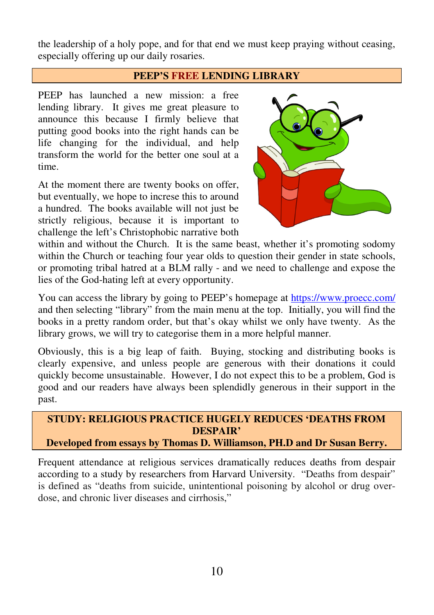the leadership of a holy pope, and for that end we must keep praying without ceasing, especially offering up our daily rosaries.

#### **PEEP'S FREE LENDING LIBRARY**

PEEP has launched a new mission: a free lending library. It gives me great pleasure to announce this because I firmly believe that putting good books into the right hands can be life changing for the individual, and help transform the world for the better one soul at a time.

At the moment there are twenty books on offer, but eventually, we hope to increse this to around a hundred. The books available will not just be strictly religious, because it is important to challenge the left's Christophobic narrative both



within and without the Church. It is the same beast, whether it's promoting sodomy within the Church or teaching four year olds to question their gender in state schools, or promoting tribal hatred at a BLM rally - and we need to challenge and expose the lies of the God-hating left at every opportunity.

You can access the library by going to PEEP's homepage at https://www.proecc.com/ and then selecting "library" from the main menu at the top. Initially, you will find the books in a pretty random order, but that's okay whilst we only have twenty. As the library grows, we will try to categorise them in a more helpful manner.

Obviously, this is a big leap of faith. Buying, stocking and distributing books is clearly expensive, and unless people are generous with their donations it could quickly become unsustainable. However, I do not expect this to be a problem, God is good and our readers have always been splendidly generous in their support in the past.

#### **STUDY: RELIGIOUS PRACTICE HUGELY REDUCES 'DEATHS FROM DESPAIR' Developed from essays by Thomas D. Williamson, PH.D and Dr Susan Berry.**

Frequent attendance at religious services dramatically reduces deaths from despair according to a study by researchers from Harvard University. "Deaths from despair" is defined as "deaths from suicide, unintentional poisoning by alcohol or drug overdose, and chronic liver diseases and cirrhosis,"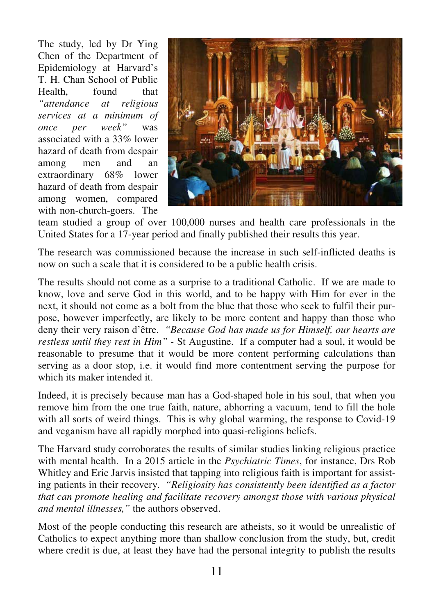The study, led by Dr Ying Chen of the Department of Epidemiology at Harvard's T. H. Chan School of Public Health, found that *"attendance at religious services at a minimum of once per week"* was associated with a 33% lower hazard of death from despair among men and an extraordinary 68% lower hazard of death from despair among women, compared with non-church-goers. The



team studied a group of over 100,000 nurses and health care professionals in the United States for a 17-year period and finally published their results this year.

The research was commissioned because the increase in such self-inflicted deaths is now on such a scale that it is considered to be a public health crisis.

The results should not come as a surprise to a traditional Catholic. If we are made to know, love and serve God in this world, and to be happy with Him for ever in the next, it should not come as a bolt from the blue that those who seek to fulfil their purpose, however imperfectly, are likely to be more content and happy than those who deny their very raison d'être. *"Because God has made us for Himself, our hearts are restless until they rest in Him" -* St Augustine.If a computer had a soul, it would be reasonable to presume that it would be more content performing calculations than serving as a door stop, i.e. it would find more contentment serving the purpose for which its maker intended it.

Indeed, it is precisely because man has a God-shaped hole in his soul, that when you remove him from the one true faith, nature, abhorring a vacuum, tend to fill the hole with all sorts of weird things. This is why global warming, the response to Covid-19 and veganism have all rapidly morphed into quasi-religions beliefs.

The Harvard study corroborates the results of similar studies linking religious practice with mental health. In a 2015 article in the *Psychiatric Times*, for instance, Drs Rob Whitley and Eric Jarvis insisted that tapping into religious faith is important for assisting patients in their recovery. *"Religiosity has consistently been identified as a factor that can promote healing and facilitate recovery amongst those with various physical and mental illnesses,"* the authors observed.

Most of the people conducting this research are atheists, so it would be unrealistic of Catholics to expect anything more than shallow conclusion from the study, but, credit where credit is due, at least they have had the personal integrity to publish the results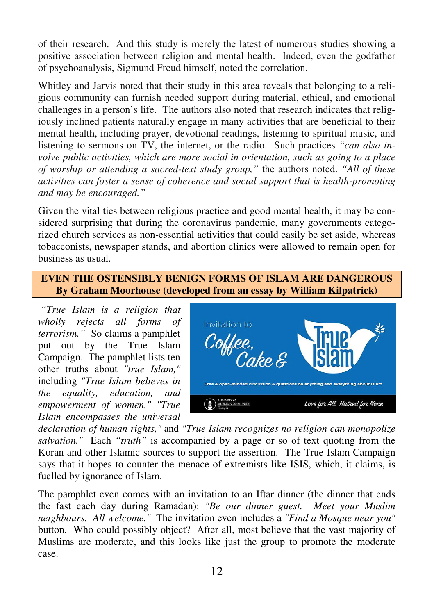of their research. And this study is merely the latest of numerous studies showing a positive association between religion and mental health. Indeed, even the godfather of psychoanalysis, Sigmund Freud himself, noted the correlation.

Whitley and Jarvis noted that their study in this area reveals that belonging to a religious community can furnish needed support during material, ethical, and emotional challenges in a person's life. The authors also noted that research indicates that religiously inclined patients naturally engage in many activities that are beneficial to their mental health, including prayer, devotional readings, listening to spiritual music, and listening to sermons on TV, the internet, or the radio. Such practices *"can also involve public activities, which are more social in orientation, such as going to a place of worship or attending a sacred-text study group,"* the authors noted. *"All of these activities can foster a sense of coherence and social support that is health-promoting and may be encouraged."* 

Given the vital ties between religious practice and good mental health, it may be considered surprising that during the coronavirus pandemic, many governments categorized church services as non-essential activities that could easily be set aside, whereas tobacconists, newspaper stands, and abortion clinics were allowed to remain open for business as usual.

## **EVEN THE OSTENSIBLY BENIGN FORMS OF ISLAM ARE DANGEROUS By Graham Moorhouse (developed from an essay by William Kilpatrick)**

 *"True Islam is a religion that wholly rejects all forms of terrorism."* So claims a pamphlet put out by the True Islam Campaign. The pamphlet lists ten other truths about *"true Islam,"* including *"True Islam believes in the equality, education, and empowerment of women," "True Islam encompasses the universal* 



*declaration of human rights,"* and *"True Islam recognizes no religion can monopolize salvation."* Each *"truth"* is accompanied by a page or so of text quoting from the Koran and other Islamic sources to support the assertion. The True Islam Campaign says that it hopes to counter the menace of extremists like ISIS, which, it claims, is fuelled by ignorance of Islam.

The pamphlet even comes with an invitation to an Iftar dinner (the dinner that ends the fast each day during Ramadan): *"Be our dinner guest. Meet your Muslim neighbours. All welcome."* The invitation even includes a *"Find a Mosque near you"* button. Who could possibly object? After all, most believe that the vast majority of Muslims are moderate, and this looks like just the group to promote the moderate case.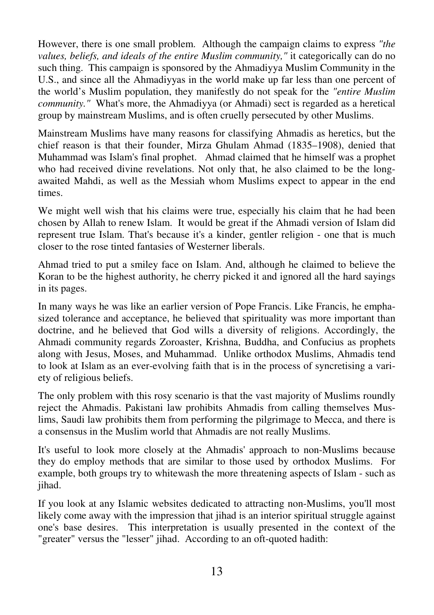However, there is one small problem. Although the campaign claims to express *"the values, beliefs, and ideals of the entire Muslim community,"* it categorically can do no such thing. This campaign is sponsored by the Ahmadiyya Muslim Community in the U.S., and since all the Ahmadiyyas in the world make up far less than one percent of the world's Muslim population, they manifestly do not speak for the *"entire Muslim community."* What's more, the Ahmadiyya (or Ahmadi) sect is regarded as a heretical group by mainstream Muslims, and is often cruelly persecuted by other Muslims.

Mainstream Muslims have many reasons for classifying Ahmadis as heretics, but the chief reason is that their founder, Mirza Ghulam Ahmad (1835–1908), denied that Muhammad was Islam's final prophet. Ahmad claimed that he himself was a prophet who had received divine revelations. Not only that, he also claimed to be the longawaited Mahdi, as well as the Messiah whom Muslims expect to appear in the end times.

We might well wish that his claims were true, especially his claim that he had been chosen by Allah to renew Islam. It would be great if the Ahmadi version of Islam did represent true Islam. That's because it's a kinder, gentler religion - one that is much closer to the rose tinted fantasies of Westerner liberals.

Ahmad tried to put a smiley face on Islam. And, although he claimed to believe the Koran to be the highest authority, he cherry picked it and ignored all the hard sayings in its pages.

In many ways he was like an earlier version of Pope Francis. Like Francis, he emphasized tolerance and acceptance, he believed that spirituality was more important than doctrine, and he believed that God wills a diversity of religions. Accordingly, the Ahmadi community regards Zoroaster, Krishna, Buddha, and Confucius as prophets along with Jesus, Moses, and Muhammad. Unlike orthodox Muslims, Ahmadis tend to look at Islam as an ever-evolving faith that is in the process of syncretising a variety of religious beliefs.

The only problem with this rosy scenario is that the vast majority of Muslims roundly reject the Ahmadis. Pakistani law prohibits Ahmadis from calling themselves Muslims, Saudi law prohibits them from performing the pilgrimage to Mecca, and there is a consensus in the Muslim world that Ahmadis are not really Muslims.

It's useful to look more closely at the Ahmadis' approach to non-Muslims because they do employ methods that are similar to those used by orthodox Muslims. For example, both groups try to whitewash the more threatening aspects of Islam - such as jihad.

If you look at any Islamic websites dedicated to attracting non-Muslims, you'll most likely come away with the impression that jihad is an interior spiritual struggle against one's base desires. This interpretation is usually presented in the context of the "greater" versus the "lesser" jihad. According to an oft-quoted hadith: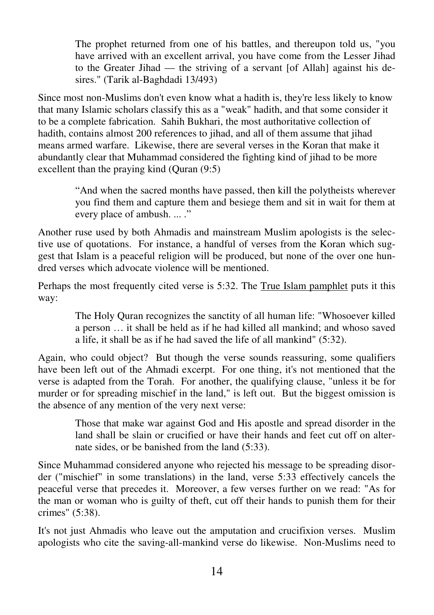The prophet returned from one of his battles, and thereupon told us, "you have arrived with an excellent arrival, you have come from the Lesser Jihad to the Greater Jihad — the striving of a servant [of Allah] against his desires." (Tarik al-Baghdadi 13/493)

Since most non-Muslims don't even know what a hadith is, they're less likely to know that many Islamic scholars classify this as a "weak" hadith, and that some consider it to be a complete fabrication. Sahih Bukhari, the most authoritative collection of hadith, contains almost 200 references to jihad, and all of them assume that jihad means armed warfare. Likewise, there are several verses in the Koran that make it abundantly clear that Muhammad considered the fighting kind of jihad to be more excellent than the praying kind (Quran (9:5)

> "And when the sacred months have passed, then kill the polytheists wherever you find them and capture them and besiege them and sit in wait for them at every place of ambush. ... ."

Another ruse used by both Ahmadis and mainstream Muslim apologists is the selective use of quotations. For instance, a handful of verses from the Koran which suggest that Islam is a peaceful religion will be produced, but none of the over one hundred verses which advocate violence will be mentioned.

Perhaps the most frequently cited verse is 5:32. The True Islam pamphlet puts it this way:

> The Holy Quran recognizes the sanctity of all human life: "Whosoever killed a person … it shall be held as if he had killed all mankind; and whoso saved a life, it shall be as if he had saved the life of all mankind" (5:32).

Again, who could object? But though the verse sounds reassuring, some qualifiers have been left out of the Ahmadi excerpt. For one thing, it's not mentioned that the verse is adapted from the Torah. For another, the qualifying clause, "unless it be for murder or for spreading mischief in the land," is left out. But the biggest omission is the absence of any mention of the very next verse:

> Those that make war against God and His apostle and spread disorder in the land shall be slain or crucified or have their hands and feet cut off on alternate sides, or be banished from the land (5:33).

Since Muhammad considered anyone who rejected his message to be spreading disorder ("mischief" in some translations) in the land, verse 5:33 effectively cancels the peaceful verse that precedes it. Moreover, a few verses further on we read: "As for the man or woman who is guilty of theft, cut off their hands to punish them for their crimes" (5:38).

It's not just Ahmadis who leave out the amputation and crucifixion verses. Muslim apologists who cite the saving-all-mankind verse do likewise. Non-Muslims need to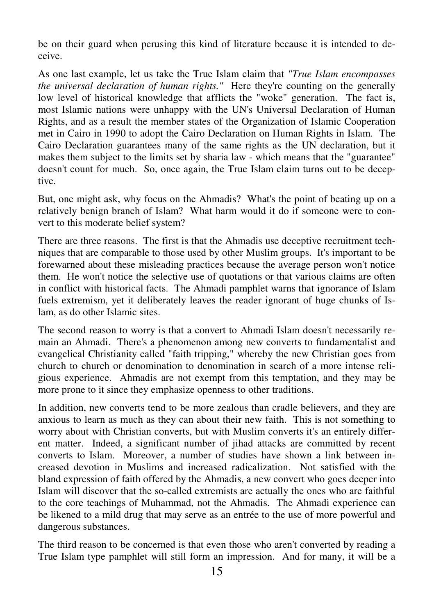be on their guard when perusing this kind of literature because it is intended to deceive.

As one last example, let us take the True Islam claim that *"True Islam encompasses the universal declaration of human rights."* Here they're counting on the generally low level of historical knowledge that afflicts the "woke" generation. The fact is, most Islamic nations were unhappy with the UN's Universal Declaration of Human Rights, and as a result the member states of the Organization of Islamic Cooperation met in Cairo in 1990 to adopt the Cairo Declaration on Human Rights in Islam. The Cairo Declaration guarantees many of the same rights as the UN declaration, but it makes them subject to the limits set by sharia law - which means that the "guarantee" doesn't count for much. So, once again, the True Islam claim turns out to be deceptive.

But, one might ask, why focus on the Ahmadis? What's the point of beating up on a relatively benign branch of Islam? What harm would it do if someone were to convert to this moderate belief system?

There are three reasons. The first is that the Ahmadis use deceptive recruitment techniques that are comparable to those used by other Muslim groups. It's important to be forewarned about these misleading practices because the average person won't notice them. He won't notice the selective use of quotations or that various claims are often in conflict with historical facts. The Ahmadi pamphlet warns that ignorance of Islam fuels extremism, yet it deliberately leaves the reader ignorant of huge chunks of Islam, as do other Islamic sites.

The second reason to worry is that a convert to Ahmadi Islam doesn't necessarily remain an Ahmadi. There's a phenomenon among new converts to fundamentalist and evangelical Christianity called "faith tripping," whereby the new Christian goes from church to church or denomination to denomination in search of a more intense religious experience. Ahmadis are not exempt from this temptation, and they may be more prone to it since they emphasize openness to other traditions.

In addition, new converts tend to be more zealous than cradle believers, and they are anxious to learn as much as they can about their new faith. This is not something to worry about with Christian converts, but with Muslim converts it's an entirely different matter. Indeed, a significant number of jihad attacks are committed by recent converts to Islam. Moreover, a number of studies have shown a link between increased devotion in Muslims and increased radicalization. Not satisfied with the bland expression of faith offered by the Ahmadis, a new convert who goes deeper into Islam will discover that the so-called extremists are actually the ones who are faithful to the core teachings of Muhammad, not the Ahmadis. The Ahmadi experience can be likened to a mild drug that may serve as an entrée to the use of more powerful and dangerous substances.

The third reason to be concerned is that even those who aren't converted by reading a True Islam type pamphlet will still form an impression. And for many, it will be a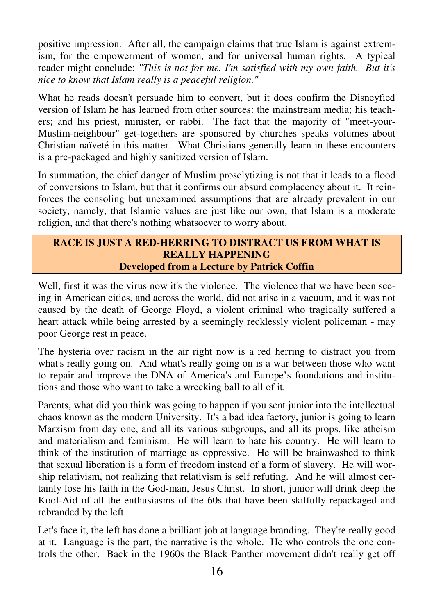positive impression. After all, the campaign claims that true Islam is against extremism, for the empowerment of women, and for universal human rights. A typical reader might conclude: *"This is not for me. I'm satisfied with my own faith. But it's nice to know that Islam really is a peaceful religion."*

What he reads doesn't persuade him to convert, but it does confirm the Disneyfied version of Islam he has learned from other sources: the mainstream media; his teachers; and his priest, minister, or rabbi. The fact that the majority of "meet-your-Muslim-neighbour" get-togethers are sponsored by churches speaks volumes about Christian naïveté in this matter. What Christians generally learn in these encounters is a pre-packaged and highly sanitized version of Islam.

In summation, the chief danger of Muslim proselytizing is not that it leads to a flood of conversions to Islam, but that it confirms our absurd complacency about it. It reinforces the consoling but unexamined assumptions that are already prevalent in our society, namely, that Islamic values are just like our own, that Islam is a moderate religion, and that there's nothing whatsoever to worry about.

## **RACE IS JUST A RED-HERRING TO DISTRACT US FROM WHAT IS REALLY HAPPENING Developed from a Lecture by Patrick Coffin**

Well, first it was the virus now it's the violence. The violence that we have been seeing in American cities, and across the world, did not arise in a vacuum, and it was not caused by the death of George Floyd, a violent criminal who tragically suffered a heart attack while being arrested by a seemingly recklessly violent policeman - may poor George rest in peace.

The hysteria over racism in the air right now is a red herring to distract you from what's really going on. And what's really going on is a war between those who want to repair and improve the DNA of America's and Europe's foundations and institutions and those who want to take a wrecking ball to all of it.

Parents, what did you think was going to happen if you sent junior into the intellectual chaos known as the modern University. It's a bad idea factory, junior is going to learn Marxism from day one, and all its various subgroups, and all its props, like atheism and materialism and feminism. He will learn to hate his country. He will learn to think of the institution of marriage as oppressive. He will be brainwashed to think that sexual liberation is a form of freedom instead of a form of slavery. He will worship relativism, not realizing that relativism is self refuting. And he will almost certainly lose his faith in the God-man, Jesus Christ. In short, junior will drink deep the Kool-Aid of all the enthusiasms of the 60s that have been skilfully repackaged and rebranded by the left.

Let's face it, the left has done a brilliant job at language branding. They're really good at it. Language is the part, the narrative is the whole. He who controls the one controls the other. Back in the 1960s the Black Panther movement didn't really get off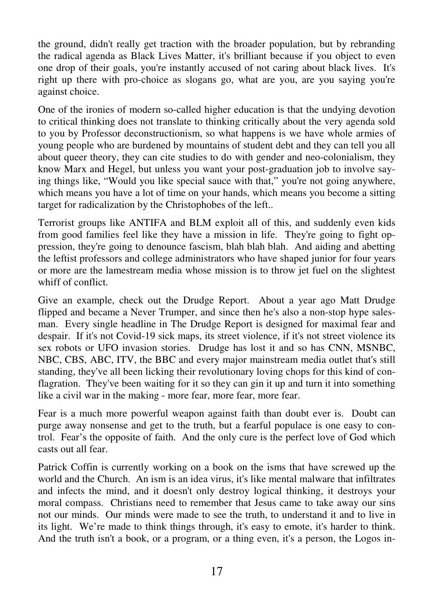the ground, didn't really get traction with the broader population, but by rebranding the radical agenda as Black Lives Matter, it's brilliant because if you object to even one drop of their goals, you're instantly accused of not caring about black lives. It's right up there with pro-choice as slogans go, what are you, are you saying you're against choice.

One of the ironies of modern so-called higher education is that the undying devotion to critical thinking does not translate to thinking critically about the very agenda sold to you by Professor deconstructionism, so what happens is we have whole armies of young people who are burdened by mountains of student debt and they can tell you all about queer theory, they can cite studies to do with gender and neo-colonialism, they know Marx and Hegel, but unless you want your post-graduation job to involve saying things like, "Would you like special sauce with that," you're not going anywhere, which means you have a lot of time on your hands, which means you become a sitting target for radicalization by the Christophobes of the left..

Terrorist groups like ANTIFA and BLM exploit all of this, and suddenly even kids from good families feel like they have a mission in life. They're going to fight oppression, they're going to denounce fascism, blah blah blah. And aiding and abetting the leftist professors and college administrators who have shaped junior for four years or more are the lamestream media whose mission is to throw jet fuel on the slightest whiff of conflict.

Give an example, check out the Drudge Report. About a year ago Matt Drudge flipped and became a Never Trumper, and since then he's also a non-stop hype salesman. Every single headline in The Drudge Report is designed for maximal fear and despair. If it's not Covid-19 sick maps, its street violence, if it's not street violence its sex robots or UFO invasion stories. Drudge has lost it and so has CNN, MSNBC, NBC, CBS, ABC, ITV, the BBC and every major mainstream media outlet that's still standing, they've all been licking their revolutionary loving chops for this kind of conflagration. They've been waiting for it so they can gin it up and turn it into something like a civil war in the making - more fear, more fear, more fear.

Fear is a much more powerful weapon against faith than doubt ever is. Doubt can purge away nonsense and get to the truth, but a fearful populace is one easy to control. Fear's the opposite of faith. And the only cure is the perfect love of God which casts out all fear.

Patrick Coffin is currently working on a book on the isms that have screwed up the world and the Church. An ism is an idea virus, it's like mental malware that infiltrates and infects the mind, and it doesn't only destroy logical thinking, it destroys your moral compass. Christians need to remember that Jesus came to take away our sins not our minds. Our minds were made to see the truth, to understand it and to live in its light. We're made to think things through, it's easy to emote, it's harder to think. And the truth isn't a book, or a program, or a thing even, it's a person, the Logos in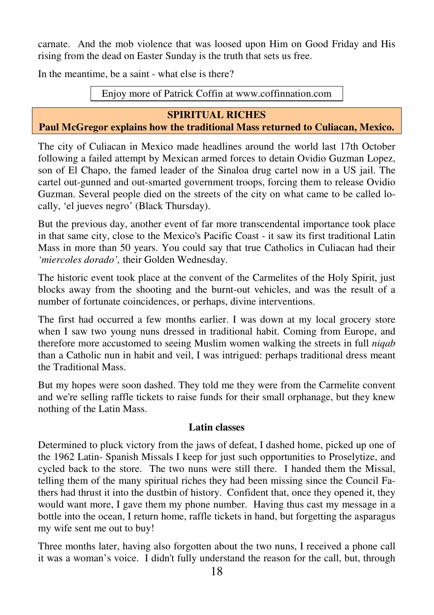carnate. And the mob violence that was loosed upon Him on Good Friday and His rising from the dead on Easter Sunday is the truth that sets us free.

In the meantime, be a saint - what else is there?

Enjoy more of Patrick Coffin at www.coffinnation.com

## **SPIRITUAL RICHES**

## **Paul McGregor explains how the traditional Mass returned to Culiacan, Mexico.**

The city of Culiacan in Mexico made headlines around the world last 17th October following a failed attempt by Mexican armed forces to detain Ovidio Guzman Lopez, son of El Chapo, the famed leader of the Sinaloa drug cartel now in a US jail. The cartel out-gunned and out-smarted government troops, forcing them to release Ovidio Guzman. Several people died on the streets of the city on what came to be called locally, 'el jueves negro' (Black Thursday).

But the previous day, another event of far more transcendental importance took place in that same city, close to the Mexico's Pacific Coast - it saw its first traditional Latin Mass in more than 50 years. You could say that true Catholics in Culiacan had their *'miercoles dorado',* their Golden Wednesday.

The historic event took place at the convent of the Carmelites of the Holy Spirit, just blocks away from the shooting and the burnt-out vehicles, and was the result of a number of fortunate coincidences, or perhaps, divine interventions.

The first had occurred a few months earlier. I was down at my local grocery store when I saw two young nuns dressed in traditional habit. Coming from Europe, and therefore more accustomed to seeing Muslim women walking the streets in full *niqab* than a Catholic nun in habit and veil, I was intrigued: perhaps traditional dress meant the Traditional Mass.

But my hopes were soon dashed. They told me they were from the Carmelite convent and we're selling raffle tickets to raise funds for their small orphanage, but they knew nothing of the Latin Mass.

#### **Latin classes**

Determined to pluck victory from the jaws of defeat, I dashed home, picked up one of the 1962 Latin- Spanish Missals I keep for just such opportunities to Proselytize, and cycled back to the store. The two nuns were still there. I handed them the Missal, telling them of the many spiritual riches they had been missing since the Council Fathers had thrust it into the dustbin of history. Confident that, once they opened it, they would want more, I gave them my phone number. Having thus cast my message in a bottle into the ocean, I return home, raffle tickets in hand, but forgetting the asparagus my wife sent me out to buy!

Three months later, having also forgotten about the two nuns, I received a phone call it was a woman's voice. I didn't fully understand the reason for the call, but, through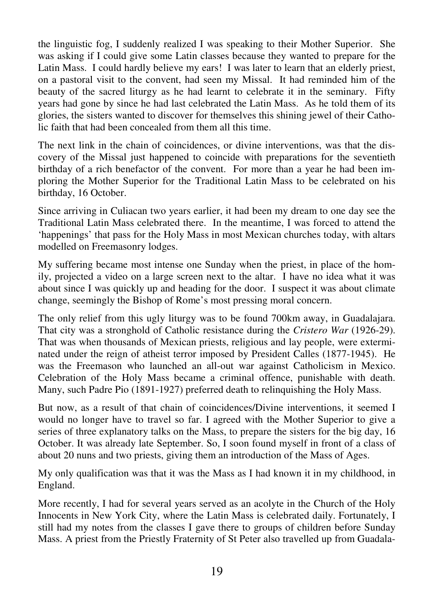the linguistic fog, I suddenly realized I was speaking to their Mother Superior. She was asking if I could give some Latin classes because they wanted to prepare for the Latin Mass. I could hardly believe my ears! I was later to learn that an elderly priest, on a pastoral visit to the convent, had seen my Missal. It had reminded him of the beauty of the sacred liturgy as he had learnt to celebrate it in the seminary. Fifty years had gone by since he had last celebrated the Latin Mass. As he told them of its glories, the sisters wanted to discover for themselves this shining jewel of their Catholic faith that had been concealed from them all this time.

The next link in the chain of coincidences, or divine interventions, was that the discovery of the Missal just happened to coincide with preparations for the seventieth birthday of a rich benefactor of the convent. For more than a year he had been imploring the Mother Superior for the Traditional Latin Mass to be celebrated on his birthday, 16 October.

Since arriving in Culiacan two years earlier, it had been my dream to one day see the Traditional Latin Mass celebrated there. In the meantime, I was forced to attend the 'happenings' that pass for the Holy Mass in most Mexican churches today, with altars modelled on Freemasonry lodges.

My suffering became most intense one Sunday when the priest, in place of the homily, projected a video on a large screen next to the altar. I have no idea what it was about since I was quickly up and heading for the door. I suspect it was about climate change, seemingly the Bishop of Rome's most pressing moral concern.

The only relief from this ugly liturgy was to be found 700km away, in Guadalajara. That city was a stronghold of Catholic resistance during the *Cristero War* (1926-29). That was when thousands of Mexican priests, religious and lay people, were exterminated under the reign of atheist terror imposed by President Calles (1877-1945). He was the Freemason who launched an all-out war against Catholicism in Mexico. Celebration of the Holy Mass became a criminal offence, punishable with death. Many, such Padre Pio (1891-1927) preferred death to relinquishing the Holy Mass.

But now, as a result of that chain of coincidences/Divine interventions, it seemed I would no longer have to travel so far. I agreed with the Mother Superior to give a series of three explanatory talks on the Mass, to prepare the sisters for the big day, 16 October. It was already late September. So, I soon found myself in front of a class of about 20 nuns and two priests, giving them an introduction of the Mass of Ages.

My only qualification was that it was the Mass as I had known it in my childhood, in England.

More recently, I had for several years served as an acolyte in the Church of the Holy Innocents in New York City, where the Latin Mass is celebrated daily. Fortunately, I still had my notes from the classes I gave there to groups of children before Sunday Mass. A priest from the Priestly Fraternity of St Peter also travelled up from Guadala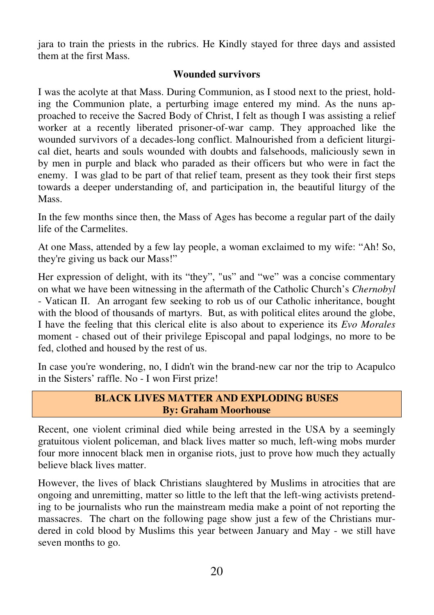jara to train the priests in the rubrics. He Kindly stayed for three days and assisted them at the first Mass.

#### **Wounded survivors**

I was the acolyte at that Mass. During Communion, as I stood next to the priest, holding the Communion plate, a perturbing image entered my mind. As the nuns approached to receive the Sacred Body of Christ, I felt as though I was assisting a relief worker at a recently liberated prisoner-of-war camp. They approached like the wounded survivors of a decades-long conflict. Malnourished from a deficient liturgical diet, hearts and souls wounded with doubts and falsehoods, maliciously sewn in by men in purple and black who paraded as their officers but who were in fact the enemy. I was glad to be part of that relief team, present as they took their first steps towards a deeper understanding of, and participation in, the beautiful liturgy of the Mass.

In the few months since then, the Mass of Ages has become a regular part of the daily life of the Carmelites.

At one Mass, attended by a few lay people, a woman exclaimed to my wife: "Ah! So, they're giving us back our Mass!"

Her expression of delight, with its "they", "us" and "we" was a concise commentary on what we have been witnessing in the aftermath of the Catholic Church's *Chernobyl* - Vatican II. An arrogant few seeking to rob us of our Catholic inheritance, bought with the blood of thousands of martyrs. But, as with political elites around the globe, I have the feeling that this clerical elite is also about to experience its *Evo Morales* moment - chased out of their privilege Episcopal and papal lodgings, no more to be fed, clothed and housed by the rest of us.

In case you're wondering, no, I didn't win the brand-new car nor the trip to Acapulco in the Sisters' raffle. No - I won First prize!

#### **BLACK LIVES MATTER AND EXPLODING BUSES By: Graham Moorhouse**

Recent, one violent criminal died while being arrested in the USA by a seemingly gratuitous violent policeman, and black lives matter so much, left-wing mobs murder four more innocent black men in organise riots, just to prove how much they actually believe black lives matter.

However, the lives of black Christians slaughtered by Muslims in atrocities that are ongoing and unremitting, matter so little to the left that the left-wing activists pretending to be journalists who run the mainstream media make a point of not reporting the massacres. The chart on the following page show just a few of the Christians murdered in cold blood by Muslims this year between January and May - we still have seven months to go.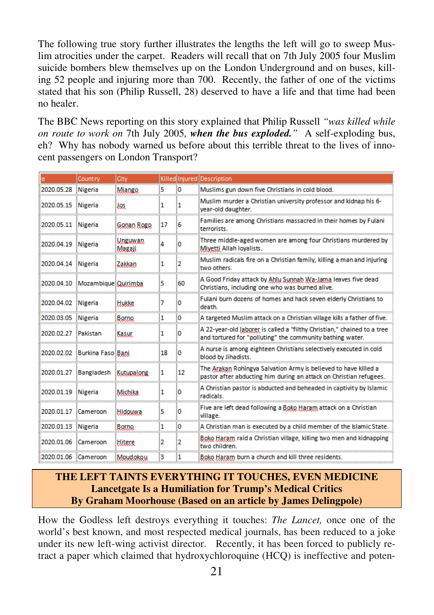The following true story further illustrates the lengths the left will go to sweep Muslim atrocities under the carpet. Readers will recall that on 7th July 2005 four Muslim suicide bombers blew themselves up on the London Underground and on buses, killing 52 people and injuring more than 700. Recently, the father of one of the victims stated that his son (Philip Russell, 28) deserved to have a life and that time had been no healer.

The BBC News reporting on this story explained that Philip Russell *"was killed while on route to work on* 7th July 2005*, when the bus exploded."* A self-exploding bus, eh? Why has nobody warned us before about this terrible threat to the lives of innocent passengers on London Transport?

|            | Country             | City                      |    |    | Killed Injured Description                                                                                                            |
|------------|---------------------|---------------------------|----|----|---------------------------------------------------------------------------------------------------------------------------------------|
| 2020.05.28 | <b>Nigeria</b>      | Miango                    | 5  | 0  | Muslims gun down five Christians in cold blood.                                                                                       |
| 2020.05.15 | <b>Nigeria</b>      | Jos.                      | 1  | 1  | Muslim murder a Christian university professor and kidnap his 6-<br>year-old daughter.                                                |
| 2020.05.11 | <b>Nigeria</b>      | Gonan Rogo                | 17 | 6. | Families are among Christians massacred in their homes by Fulani<br>terrorists.                                                       |
| 2020.04.19 | <b>Nigeria</b>      | <u>Udeuwad.</u><br>Magaji | 4  | n  | Three middle-aged women are among four Christians murdered by<br>Miyetti Allah loyalists.                                             |
| 2020.04.14 | <b>Nigeria</b>      | Zakkan                    | 1  | 2  | Muslim radicals fire on a Christian family, killing a man and injuring<br>two others                                                  |
| 2020.04.10 | Mozambique Quirimba |                           | 5  | 60 | A Good Friday attack by Ahlu Sunnah Wa-Jama leaves five dead<br>Christians, including one who was burned alive.                       |
| 2020.04.02 | <b>Nigeria</b>      | <b>Hukke</b>              | 7  | 0  | Fulani burn dozens of homes and hack seven elderly Christians to<br>death                                                             |
| 2020.03.05 | <b>Nigeria</b>      | Borno                     | 1  | 0  | A targeted Muslim attack on a Christian village kills a father of five.                                                               |
| 2020.02.27 | Pakistan            | Kasur.                    | 1  | o  | A 22-year-old Jaborer is called a "filthy Christian," chained to a tree<br>and tortured for "polluting" the community bathing water.  |
| 2020.02.02 | Burkina Faso Bani   |                           | 18 | o  | A nurse is among eighteen Christians selectively executed in cold<br>blood by Jihadists.                                              |
| 2020.01.27 | <b>Bangladesh</b>   | Kutupalong                | 1  | 12 | The Arakan Rohingya Salvation Army is believed to have killed a<br>pastor after abducting him during an attack on Christian refugees. |
| 2020.01.19 | <b>Nigeria</b>      | Michika                   | 1  | o  | A Christian pastor is abducted and beheaded in captivity by Islamic<br>radicals.                                                      |
| 2020.01.17 | Cameroon            | <b>Hidouwa</b>            | 5  | 0  | Five are left dead following a Boko Haram attack on a Christian<br>village.                                                           |
| 2020.01.13 | <b>Nigeria</b>      | Borno                     | 1  | ٥  | A Christian man is executed by a child member of the Islamic State.                                                                   |
| 2020.01.06 | Cameroon            | Hitere.                   | 2  | 2  | Boko Haram raid a Christian village, killing two men and kidnapping<br>two children.                                                  |
| 2020.01.06 | Cameroon            | Moudokou                  | 3  | 1  | Boko Haram burn a church and kill three residents.                                                                                    |

## **THE LEFT TAINTS EVERYTHING IT TOUCHES, EVEN MEDICINE Lancetgate Is a Humiliation for Trump's Medical Critics By Graham Moorhouse (Based on an article by James Delingpole)**

How the Godless left destroys everything it touches: *The Lancet,* once one of the world's best known, and most respected medical journals, has been reduced to a joke under its new left-wing activist director. Recently, it has been forced to publicly retract a paper which claimed that hydroxychloroquine (HCQ) is ineffective and poten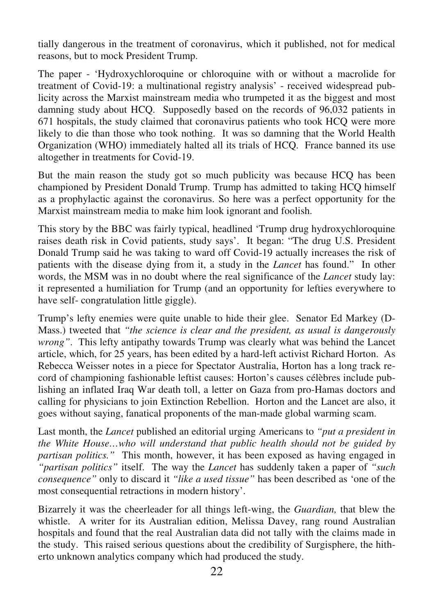tially dangerous in the treatment of coronavirus, which it published, not for medical reasons, but to mock President Trump.

The paper - 'Hydroxychloroquine or chloroquine with or without a macrolide for treatment of Covid-19: a multinational registry analysis' - received widespread publicity across the Marxist mainstream media who trumpeted it as the biggest and most damning study about HCQ. Supposedly based on the records of 96,032 patients in 671 hospitals, the study claimed that coronavirus patients who took HCQ were more likely to die than those who took nothing. It was so damning that the World Health Organization (WHO) immediately halted all its trials of HCQ. France banned its use altogether in treatments for Covid-19.

But the main reason the study got so much publicity was because HCQ has been championed by President Donald Trump. Trump has admitted to taking HCQ himself as a prophylactic against the coronavirus. So here was a perfect opportunity for the Marxist mainstream media to make him look ignorant and foolish.

This story by the BBC was fairly typical, headlined 'Trump drug hydroxychloroquine raises death risk in Covid patients, study says'. It began: "The drug U.S. President Donald Trump said he was taking to ward off Covid-19 actually increases the risk of patients with the disease dying from it, a study in the *Lancet* has found." In other words, the MSM was in no doubt where the real significance of the *Lancet* study lay: it represented a humiliation for Trump (and an opportunity for lefties everywhere to have self- congratulation little giggle).

Trump's lefty enemies were quite unable to hide their glee. Senator Ed Markey (D-Mass.) tweeted that *"the science is clear and the president, as usual is dangerously wrong"*. This lefty antipathy towards Trump was clearly what was behind the Lancet article, which, for 25 years, has been edited by a hard-left activist Richard Horton. As Rebecca Weisser notes in a piece for Spectator Australia, Horton has a long track record of championing fashionable leftist causes: Horton's causes célèbres include publishing an inflated Iraq War death toll, a letter on Gaza from pro-Hamas doctors and calling for physicians to join Extinction Rebellion. Horton and the Lancet are also, it goes without saying, fanatical proponents of the man-made global warming scam.

Last month, the *Lancet* published an editorial urging Americans to *"put a president in the White House…who will understand that public health should not be guided by partisan politics."* This month, however, it has been exposed as having engaged in *"partisan politics"* itself. The way the *Lancet* has suddenly taken a paper of *"such consequence"* only to discard it *"like a used tissue"* has been described as 'one of the most consequential retractions in modern history'.

Bizarrely it was the cheerleader for all things left-wing, the *Guardian,* that blew the whistle. A writer for its Australian edition, Melissa Davey, rang round Australian hospitals and found that the real Australian data did not tally with the claims made in the study. This raised serious questions about the credibility of Surgisphere, the hitherto unknown analytics company which had produced the study.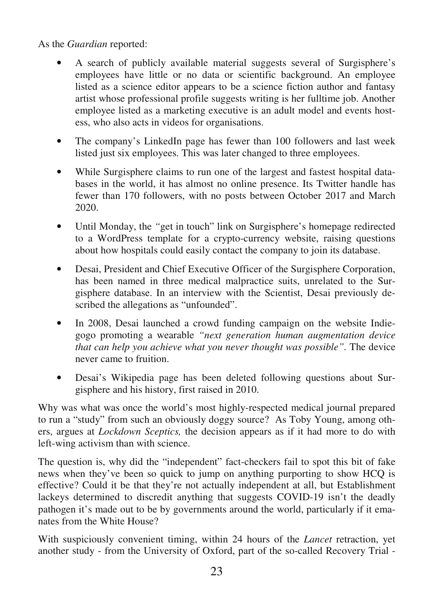As the *Guardian* reported:

- A search of publicly available material suggests several of Surgisphere's employees have little or no data or scientific background. An employee listed as a science editor appears to be a science fiction author and fantasy artist whose professional profile suggests writing is her fulltime job. Another employee listed as a marketing executive is an adult model and events hostess, who also acts in videos for organisations.
- The company's LinkedIn page has fewer than 100 followers and last week listed just six employees. This was later changed to three employees.
- While Surgisphere claims to run one of the largest and fastest hospital databases in the world, it has almost no online presence. Its Twitter handle has fewer than 170 followers, with no posts between October 2017 and March 2020.
- Until Monday, the *"*get in touch" link on Surgisphere's homepage redirected to a WordPress template for a crypto-currency website, raising questions about how hospitals could easily contact the company to join its database.
- Desai, President and Chief Executive Officer of the Surgisphere Corporation, has been named in three medical malpractice suits, unrelated to the Surgisphere database. In an interview with the Scientist, Desai previously described the allegations as "unfounded".
- In 2008, Desai launched a crowd funding campaign on the website Indiegogo promoting a wearable *"next generation human augmentation device that can help you achieve what you never thought was possible".* The device never came to fruition.
- Desai's Wikipedia page has been deleted following questions about Surgisphere and his history, first raised in 2010.

Why was what was once the world's most highly-respected medical journal prepared to run a "study" from such an obviously doggy source? As Toby Young, among others, argues at *Lockdown Sceptics,* the decision appears as if it had more to do with left-wing activism than with science.

The question is, why did the "independent" fact-checkers fail to spot this bit of fake news when they've been so quick to jump on anything purporting to show HCQ is effective? Could it be that they're not actually independent at all, but Establishment lackeys determined to discredit anything that suggests COVID-19 isn't the deadly pathogen it's made out to be by governments around the world, particularly if it emanates from the White House?

With suspiciously convenient timing, within 24 hours of the *Lancet* retraction, yet another study - from the University of Oxford, part of the so-called Recovery Trial -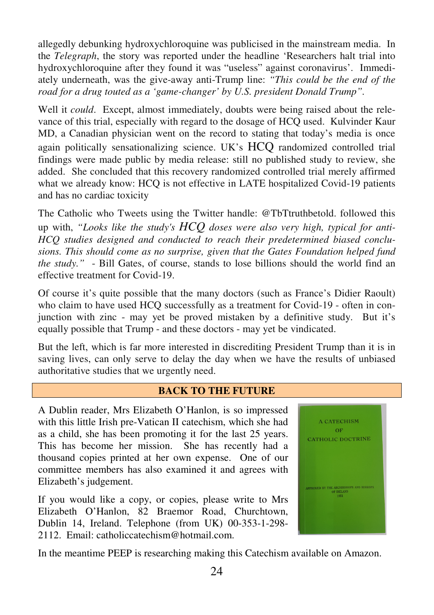allegedly debunking hydroxychloroquine was publicised in the mainstream media. In the *Telegraph*, the story was reported under the headline 'Researchers halt trial into hydroxychloroquine after they found it was "useless" against coronavirus'. Immediately underneath, was the give-away anti-Trump line: *"This could be the end of the road for a drug touted as a 'game-changer' by U.S. president Donald Trump".*

Well it *could*. Except, almost immediately, doubts were being raised about the relevance of this trial, especially with regard to the dosage of HCQ used. Kulvinder Kaur MD, a Canadian physician went on the record to stating that today's media is once again politically sensationalizing science. UK's HCQ randomized controlled trial findings were made public by media release: still no published study to review, she added. She concluded that this recovery randomized controlled trial merely affirmed what we already know: HCO is not effective in LATE hospitalized Covid-19 patients and has no cardiac toxicity

The Catholic who Tweets using the Twitter handle: @TbTtruthbetold. followed this up with, *"Looks like the study's HCQ doses were also very high, typical for anti-HCQ studies designed and conducted to reach their predetermined biased conclusions. This should come as no surprise, given that the Gates Foundation helped fund the study."* - Bill Gates, of course, stands to lose billions should the world find an effective treatment for Covid-19.

Of course it's quite possible that the many doctors (such as France's Didier Raoult) who claim to have used HCQ successfully as a treatment for Covid-19 - often in conjunction with zinc - may yet be proved mistaken by a definitive study. But it's equally possible that Trump - and these doctors - may yet be vindicated.

But the left, which is far more interested in discrediting President Trump than it is in saving lives, can only serve to delay the day when we have the results of unbiased authoritative studies that we urgently need.

#### **BACK TO THE FUTURE**

A Dublin reader, Mrs Elizabeth O'Hanlon, is so impressed with this little Irish pre-Vatican II catechism, which she had as a child, she has been promoting it for the last 25 years. This has become her mission. She has recently had a thousand copies printed at her own expense. One of our committee members has also examined it and agrees with Elizabeth's judgement.

If you would like a copy, or copies, please write to Mrs Elizabeth O'Hanlon, 82 Braemor Road, Churchtown, Dublin 14, Ireland. Telephone (from UK) 00-353-1-298- 2112. Email: catholiccatechism@hotmail.com.



In the meantime PEEP is researching making this Catechism available on Amazon.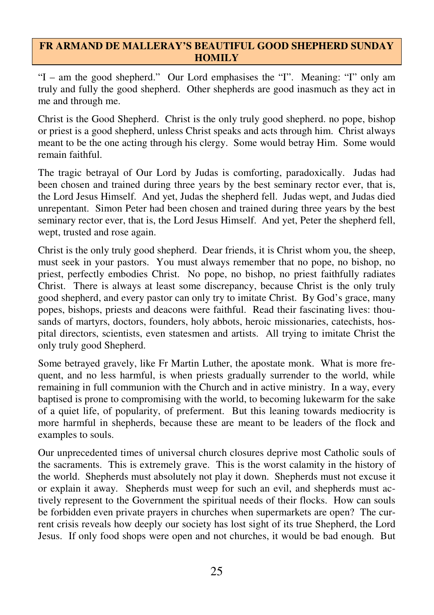#### **FR ARMAND DE MALLERAY'S BEAUTIFUL GOOD SHEPHERD SUNDAY HOMILY**

"I – am the good shepherd." Our Lord emphasises the "I". Meaning: "I" only am truly and fully the good shepherd. Other shepherds are good inasmuch as they act in me and through me.

Christ is the Good Shepherd. Christ is the only truly good shepherd. no pope, bishop or priest is a good shepherd, unless Christ speaks and acts through him. Christ always meant to be the one acting through his clergy. Some would betray Him. Some would remain faithful.

The tragic betrayal of Our Lord by Judas is comforting, paradoxically. Judas had been chosen and trained during three years by the best seminary rector ever, that is, the Lord Jesus Himself. And yet, Judas the shepherd fell. Judas wept, and Judas died unrepentant. Simon Peter had been chosen and trained during three years by the best seminary rector ever, that is, the Lord Jesus Himself. And yet, Peter the shepherd fell, wept, trusted and rose again.

Christ is the only truly good shepherd. Dear friends, it is Christ whom you, the sheep, must seek in your pastors. You must always remember that no pope, no bishop, no priest, perfectly embodies Christ. No pope, no bishop, no priest faithfully radiates Christ. There is always at least some discrepancy, because Christ is the only truly good shepherd, and every pastor can only try to imitate Christ. By God's grace, many popes, bishops, priests and deacons were faithful. Read their fascinating lives: thousands of martyrs, doctors, founders, holy abbots, heroic missionaries, catechists, hospital directors, scientists, even statesmen and artists. All trying to imitate Christ the only truly good Shepherd.

Some betrayed gravely, like Fr Martin Luther, the apostate monk. What is more frequent, and no less harmful, is when priests gradually surrender to the world, while remaining in full communion with the Church and in active ministry. In a way, every baptised is prone to compromising with the world, to becoming lukewarm for the sake of a quiet life, of popularity, of preferment. But this leaning towards mediocrity is more harmful in shepherds, because these are meant to be leaders of the flock and examples to souls.

Our unprecedented times of universal church closures deprive most Catholic souls of the sacraments. This is extremely grave. This is the worst calamity in the history of the world. Shepherds must absolutely not play it down. Shepherds must not excuse it or explain it away. Shepherds must weep for such an evil, and shepherds must actively represent to the Government the spiritual needs of their flocks. How can souls be forbidden even private prayers in churches when supermarkets are open? The current crisis reveals how deeply our society has lost sight of its true Shepherd, the Lord Jesus. If only food shops were open and not churches, it would be bad enough. But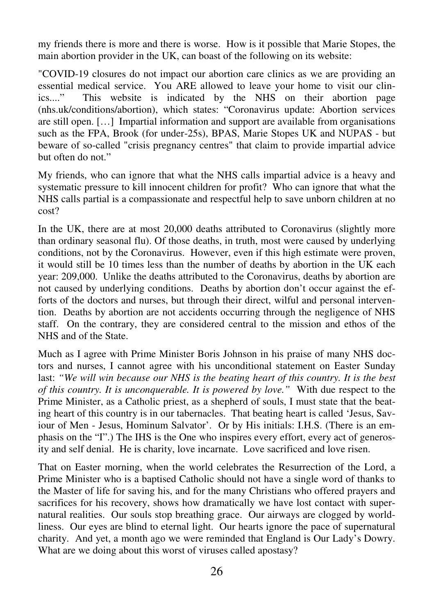my friends there is more and there is worse. How is it possible that Marie Stopes, the main abortion provider in the UK, can boast of the following on its website:

"COVID-19 closures do not impact our abortion care clinics as we are providing an essential medical service. You ARE allowed to leave your home to visit our clinics...." This website is indicated by the NHS on their abortion page (nhs.uk/conditions/abortion), which states: "Coronavirus update: Abortion services are still open. […] Impartial information and support are available from organisations such as the FPA, Brook (for under-25s), BPAS, Marie Stopes UK and NUPAS - but beware of so-called "crisis pregnancy centres" that claim to provide impartial advice but often do not."

My friends, who can ignore that what the NHS calls impartial advice is a heavy and systematic pressure to kill innocent children for profit? Who can ignore that what the NHS calls partial is a compassionate and respectful help to save unborn children at no cost?

In the UK, there are at most 20,000 deaths attributed to Coronavirus (slightly more than ordinary seasonal flu). Of those deaths, in truth, most were caused by underlying conditions, not by the Coronavirus. However, even if this high estimate were proven, it would still be 10 times less than the number of deaths by abortion in the UK each year: 209,000. Unlike the deaths attributed to the Coronavirus, deaths by abortion are not caused by underlying conditions. Deaths by abortion don't occur against the efforts of the doctors and nurses, but through their direct, wilful and personal intervention. Deaths by abortion are not accidents occurring through the negligence of NHS staff. On the contrary, they are considered central to the mission and ethos of the NHS and of the State.

Much as I agree with Prime Minister Boris Johnson in his praise of many NHS doctors and nurses, I cannot agree with his unconditional statement on Easter Sunday last: *"We will win because our NHS is the beating heart of this country. It is the best of this country. It is unconquerable. It is powered by love."* With due respect to the Prime Minister, as a Catholic priest, as a shepherd of souls, I must state that the beating heart of this country is in our tabernacles. That beating heart is called 'Jesus, Saviour of Men - Jesus, Hominum Salvator'. Or by His initials: I.H.S. (There is an emphasis on the "I".) The IHS is the One who inspires every effort, every act of generosity and self denial. He is charity, love incarnate. Love sacrificed and love risen.

That on Easter morning, when the world celebrates the Resurrection of the Lord, a Prime Minister who is a baptised Catholic should not have a single word of thanks to the Master of life for saving his, and for the many Christians who offered prayers and sacrifices for his recovery, shows how dramatically we have lost contact with supernatural realities. Our souls stop breathing grace. Our airways are clogged by worldliness. Our eyes are blind to eternal light. Our hearts ignore the pace of supernatural charity. And yet, a month ago we were reminded that England is Our Lady's Dowry. What are we doing about this worst of viruses called apostasy?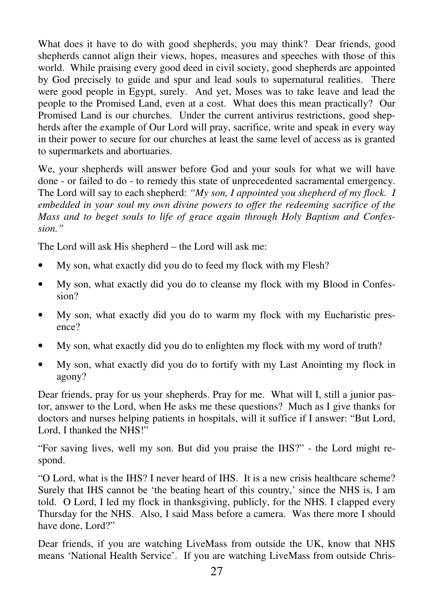What does it have to do with good shepherds, you may think? Dear friends, good shepherds cannot align their views, hopes, measures and speeches with those of this world. While praising every good deed in civil society, good shepherds are appointed by God precisely to guide and spur and lead souls to supernatural realities. There were good people in Egypt, surely. And yet, Moses was to take leave and lead the people to the Promised Land, even at a cost. What does this mean practically? Our Promised Land is our churches. Under the current antivirus restrictions, good shepherds after the example of Our Lord will pray, sacrifice, write and speak in every way in their power to secure for our churches at least the same level of access as is granted to supermarkets and abortuaries.

We, your shepherds will answer before God and your souls for what we will have done - or failed to do - to remedy this state of unprecedented sacramental emergency. The Lord will say to each shepherd: *"My son, I appointed you shepherd of my flock. I embedded in your soul my own divine powers to offer the redeeming sacrifice of the Mass and to beget souls to life of grace again through Holy Baptism and Confession."* 

The Lord will ask His shepherd – the Lord will ask me:

- My son, what exactly did you do to feed my flock with my Flesh?
- My son, what exactly did you do to cleanse my flock with my Blood in Confession?
- My son, what exactly did you do to warm my flock with my Eucharistic presence?
- My son, what exactly did you do to enlighten my flock with my word of truth?
- My son, what exactly did you do to fortify with my Last Anointing my flock in agony?

Dear friends, pray for us your shepherds. Pray for me. What will I, still a junior pastor, answer to the Lord, when He asks me these questions? Much as I give thanks for doctors and nurses helping patients in hospitals, will it suffice if I answer: "But Lord, Lord, I thanked the NHS!"

"For saving lives, well my son. But did you praise the IHS?" - the Lord might respond.

"O Lord, what is the IHS? I never heard of IHS. It is a new crisis healthcare scheme? Surely that IHS cannot be 'the beating heart of this country,' since the NHS is, I am told. O Lord, I led my flock in thanksgiving, publicly, for the NHS. I clapped every Thursday for the NHS. Also, I said Mass before a camera. Was there more I should have done, Lord?"

Dear friends, if you are watching LiveMass from outside the UK, know that NHS means 'National Health Service'. If you are watching LiveMass from outside Chris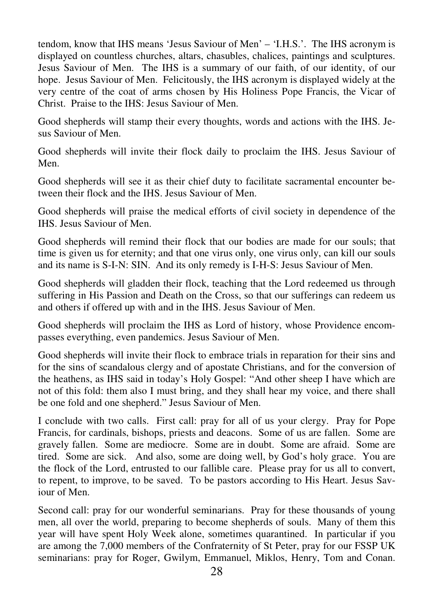tendom, know that IHS means 'Jesus Saviour of Men' – 'I.H.S.'. The IHS acronym is displayed on countless churches, altars, chasubles, chalices, paintings and sculptures. Jesus Saviour of Men. The IHS is a summary of our faith, of our identity, of our hope. Jesus Saviour of Men. Felicitously, the IHS acronym is displayed widely at the very centre of the coat of arms chosen by His Holiness Pope Francis, the Vicar of Christ. Praise to the IHS: Jesus Saviour of Men.

Good shepherds will stamp their every thoughts, words and actions with the IHS. Jesus Saviour of Men.

Good shepherds will invite their flock daily to proclaim the IHS. Jesus Saviour of Men.

Good shepherds will see it as their chief duty to facilitate sacramental encounter between their flock and the IHS. Jesus Saviour of Men.

Good shepherds will praise the medical efforts of civil society in dependence of the IHS. Jesus Saviour of Men.

Good shepherds will remind their flock that our bodies are made for our souls; that time is given us for eternity; and that one virus only, one virus only, can kill our souls and its name is S-I-N: SIN. And its only remedy is I-H-S: Jesus Saviour of Men.

Good shepherds will gladden their flock, teaching that the Lord redeemed us through suffering in His Passion and Death on the Cross, so that our sufferings can redeem us and others if offered up with and in the IHS. Jesus Saviour of Men.

Good shepherds will proclaim the IHS as Lord of history, whose Providence encompasses everything, even pandemics. Jesus Saviour of Men.

Good shepherds will invite their flock to embrace trials in reparation for their sins and for the sins of scandalous clergy and of apostate Christians, and for the conversion of the heathens, as IHS said in today's Holy Gospel: "And other sheep I have which are not of this fold: them also I must bring, and they shall hear my voice, and there shall be one fold and one shepherd." Jesus Saviour of Men.

I conclude with two calls. First call: pray for all of us your clergy. Pray for Pope Francis, for cardinals, bishops, priests and deacons. Some of us are fallen. Some are gravely fallen. Some are mediocre. Some are in doubt. Some are afraid. Some are tired. Some are sick. And also, some are doing well, by God's holy grace. You are the flock of the Lord, entrusted to our fallible care. Please pray for us all to convert, to repent, to improve, to be saved. To be pastors according to His Heart. Jesus Saviour of Men.

Second call: pray for our wonderful seminarians. Pray for these thousands of young men, all over the world, preparing to become shepherds of souls. Many of them this year will have spent Holy Week alone, sometimes quarantined. In particular if you are among the 7,000 members of the Confraternity of St Peter, pray for our FSSP UK seminarians: pray for Roger, Gwilym, Emmanuel, Miklos, Henry, Tom and Conan.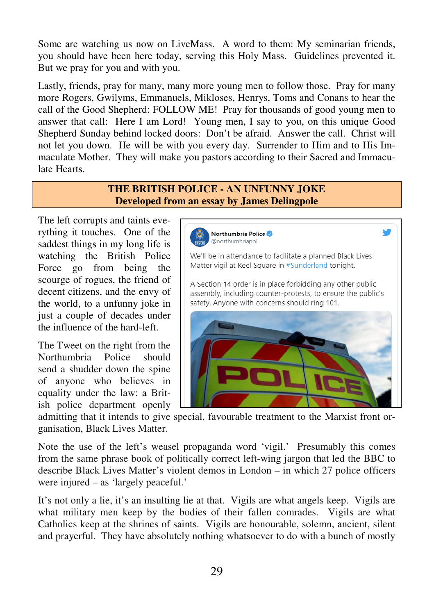Some are watching us now on LiveMass. A word to them: My seminarian friends, you should have been here today, serving this Holy Mass. Guidelines prevented it. But we pray for you and with you.

Lastly, friends, pray for many, many more young men to follow those. Pray for many more Rogers, Gwilyms, Emmanuels, Mikloses, Henrys, Toms and Conans to hear the call of the Good Shepherd: FOLLOW ME! Pray for thousands of good young men to answer that call: Here I am Lord! Young men, I say to you, on this unique Good Shepherd Sunday behind locked doors: Don't be afraid. Answer the call. Christ will not let you down. He will be with you every day. Surrender to Him and to His Immaculate Mother. They will make you pastors according to their Sacred and Immaculate Hearts.

#### **THE BRITISH POLICE - AN UNFUNNY JOKE Developed from an essay by James Delingpole**

The left corrupts and taints everything it touches. One of the saddest things in my long life is watching the British Police Force go from being the scourge of rogues, the friend of decent citizens, and the envy of the world, to a unfunny joke in just a couple of decades under the influence of the hard-left.

The Tweet on the right from the Northumbria Police should send a shudder down the spine of anyone who believes in equality under the law: a British police department openly

Northumbria Police @northumbriapol We'll be in attendance to facilitate a planned Black Lives Matter vigil at Keel Square in #Sunderland tonight. A Section 14 order is in place forbidding any other public assembly, including counter-protests, to ensure the public's safety. Anyone with concerns should ring 101.

admitting that it intends to give special, favourable treatment to the Marxist front organisation, Black Lives Matter.

Note the use of the left's weasel propaganda word 'vigil.' Presumably this comes from the same phrase book of politically correct left-wing jargon that led the BBC to describe Black Lives Matter's violent demos in London – in which 27 police officers were injured – as 'largely peaceful.'

It's not only a lie, it's an insulting lie at that. Vigils are what angels keep. Vigils are what military men keep by the bodies of their fallen comrades. Vigils are what Catholics keep at the shrines of saints. Vigils are honourable, solemn, ancient, silent and prayerful. They have absolutely nothing whatsoever to do with a bunch of mostly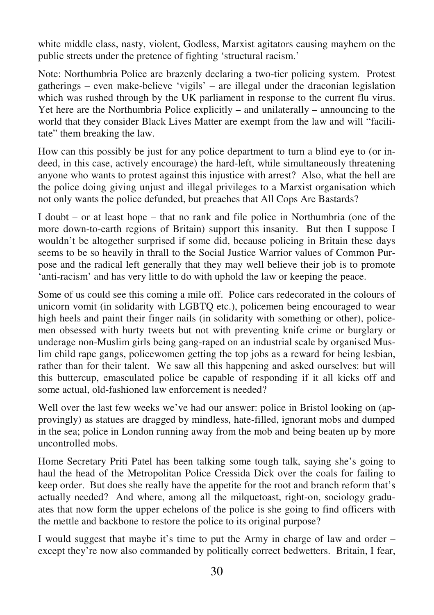white middle class, nasty, violent, Godless, Marxist agitators causing mayhem on the public streets under the pretence of fighting 'structural racism.'

Note: Northumbria Police are brazenly declaring a two-tier policing system. Protest gatherings – even make-believe 'vigils' – are illegal under the draconian legislation which was rushed through by the UK parliament in response to the current flu virus. Yet here are the Northumbria Police explicitly – and unilaterally – announcing to the world that they consider Black Lives Matter are exempt from the law and will "facilitate" them breaking the law.

How can this possibly be just for any police department to turn a blind eye to (or indeed, in this case, actively encourage) the hard-left, while simultaneously threatening anyone who wants to protest against this injustice with arrest? Also, what the hell are the police doing giving unjust and illegal privileges to a Marxist organisation which not only wants the police defunded, but preaches that All Cops Are Bastards?

I doubt – or at least hope – that no rank and file police in Northumbria (one of the more down-to-earth regions of Britain) support this insanity. But then I suppose I wouldn't be altogether surprised if some did, because policing in Britain these days seems to be so heavily in thrall to the Social Justice Warrior values of Common Purpose and the radical left generally that they may well believe their job is to promote 'anti-racism' and has very little to do with uphold the law or keeping the peace.

Some of us could see this coming a mile off. Police cars redecorated in the colours of unicorn vomit (in solidarity with LGBTQ etc.), policemen being encouraged to wear high heels and paint their finger nails (in solidarity with something or other), policemen obsessed with hurty tweets but not with preventing knife crime or burglary or underage non-Muslim girls being gang-raped on an industrial scale by organised Muslim child rape gangs, policewomen getting the top jobs as a reward for being lesbian, rather than for their talent. We saw all this happening and asked ourselves: but will this buttercup, emasculated police be capable of responding if it all kicks off and some actual, old-fashioned law enforcement is needed?

Well over the last few weeks we've had our answer: police in Bristol looking on (approvingly) as statues are dragged by mindless, hate-filled, ignorant mobs and dumped in the sea; police in London running away from the mob and being beaten up by more uncontrolled mobs.

Home Secretary Priti Patel has been talking some tough talk, saying she's going to haul the head of the Metropolitan Police Cressida Dick over the coals for failing to keep order. But does she really have the appetite for the root and branch reform that's actually needed? And where, among all the milquetoast, right-on, sociology graduates that now form the upper echelons of the police is she going to find officers with the mettle and backbone to restore the police to its original purpose?

I would suggest that maybe it's time to put the Army in charge of law and order – except they're now also commanded by politically correct bedwetters. Britain, I fear,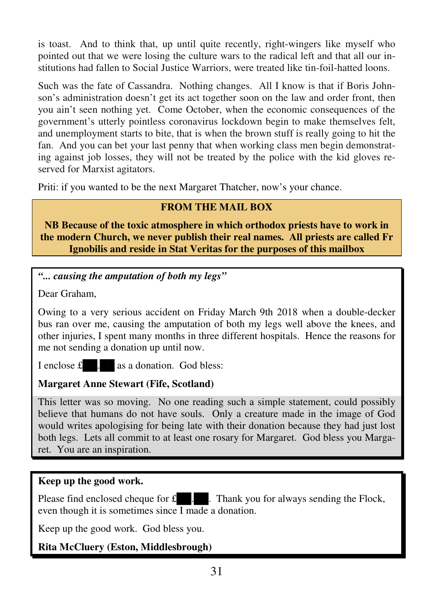is toast. And to think that, up until quite recently, right-wingers like myself who pointed out that we were losing the culture wars to the radical left and that all our institutions had fallen to Social Justice Warriors, were treated like tin-foil-hatted loons.

Such was the fate of Cassandra. Nothing changes. All I know is that if Boris Johnson's administration doesn't get its act together soon on the law and order front, then you ain't seen nothing yet. Come October, when the economic consequences of the government's utterly pointless coronavirus lockdown begin to make themselves felt, and unemployment starts to bite, that is when the brown stuff is really going to hit the fan. And you can bet your last penny that when working class men begin demonstrating against job losses, they will not be treated by the police with the kid gloves reserved for Marxist agitators.

Priti: if you wanted to be the next Margaret Thatcher, now's your chance.

# **FROM THE MAIL BOX**

**NB Because of the toxic atmosphere in which orthodox priests have to work in the modern Church, we never publish their real names. All priests are called Fr Ignobilis and reside in Stat Veritas for the purposes of this mailbox** 

*"... causing the amputation of both my legs"* 

Dear Graham,

Owing to a very serious accident on Friday March 9th 2018 when a double-decker bus ran over me, causing the amputation of both my legs well above the knees, and other injuries, I spent many months in three different hospitals. Hence the reasons for me not sending a donation up until now.

I enclose  $\mathbf{\pounds}$   $\blacksquare$  as a donation. God bless:

# **Margaret Anne Stewart (Fife, Scotland)**

This letter was so moving. No one reading such a simple statement, could possibly believe that humans do not have souls. Only a creature made in the image of God would writes apologising for being late with their donation because they had just lost both legs. Lets all commit to at least one rosary for Margaret. God bless you Margaret. You are an inspiration.

## **Keep up the good work.**

Please find enclosed cheque for  $\mathbf{\pounds}$ . Thank you for always sending the Flock, even though it is sometimes since  $\overline{I}$  made a donation.

Keep up the good work. God bless you.

# **Rita McCluery (Eston, Middlesbrough)**